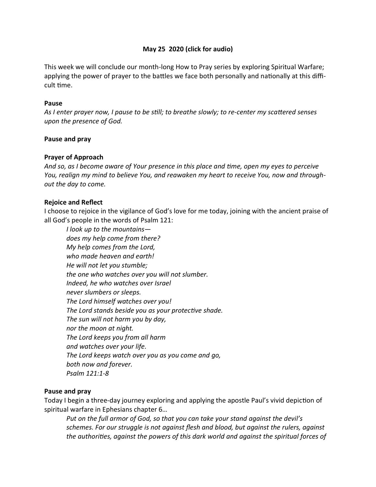## May 25 2020 (click for audio)

This week we will conclude our month-long How to Pray series by exploring Spiritual Warfare; applying the power of prayer to the battles we face both personally and nationally at this difficult time.

#### Pause

As I enter prayer now, I pause to be still; to breathe slowly; to re-center my scattered senses upon the presence of God.

### Pause and pray

### Prayer of Approach

And so, as I become aware of Your presence in this place and time, open my eyes to perceive You, realign my mind to believe You, and reawaken my heart to receive You, now and throughout the day to come.

### Rejoice and Reflect

I choose to rejoice in the vigilance of God's love for me today, joining with the ancient praise of all God's people in the words of Psalm 121:

I look up to the mountains does my help come from there? My help comes from the Lord, who made heaven and earth! He will not let you stumble; the one who watches over you will not slumber. Indeed, he who watches over Israel never slumbers or sleeps. The Lord himself watches over you! The Lord stands beside you as your protective shade. The sun will not harm you by day, nor the moon at night. The Lord keeps you from all harm and watches over your life. The Lord keeps watch over you as you come and go, both now and forever. Psalm 121:1-8

#### Pause and pray

Today I begin a three-day journey exploring and applying the apostle Paul's vivid depiction of spiritual warfare in Ephesians chapter 6…

Put on the full armor of God, so that you can take your stand against the devil's schemes. For our struggle is not against flesh and blood, but against the rulers, against the authorities, against the powers of this dark world and against the spiritual forces of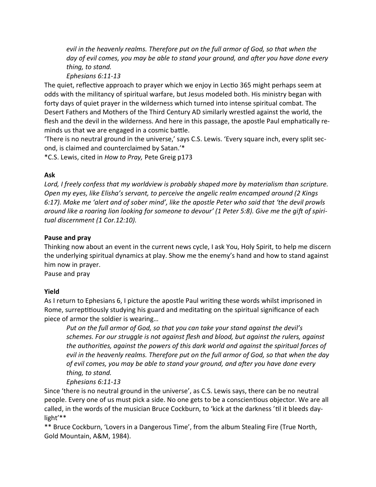evil in the heavenly realms. Therefore put on the full armor of God, so that when the day of evil comes, you may be able to stand your ground, and after you have done every thing, to stand.

Ephesians 6:11-13

The quiet, reflective approach to prayer which we enjoy in Lectio 365 might perhaps seem at odds with the militancy of spiritual warfare, but Jesus modeled both. His ministry began with forty days of quiet prayer in the wilderness which turned into intense spiritual combat. The Desert Fathers and Mothers of the Third Century AD similarly wrestled against the world, the flesh and the devil in the wilderness. And here in this passage, the apostle Paul emphatically reminds us that we are engaged in a cosmic battle.

'There is no neutral ground in the universe,' says C.S. Lewis. 'Every square inch, every split second, is claimed and counterclaimed by Satan.'\*

\*C.S. Lewis, cited in How to Pray, Pete Greig p173

## Ask

Lord, I freely confess that my worldview is probably shaped more by materialism than scripture. Open my eyes, like Elisha's servant, to perceive the angelic realm encamped around (2 Kings 6:17). Make me 'alert and of sober mind', like the apostle Peter who said that 'the devil prowls around like a roaring lion looking for someone to devour' (1 Peter 5:8). Give me the gift of spiritual discernment (1 Cor.12:10).

## Pause and pray

Thinking now about an event in the current news cycle, I ask You, Holy Spirit, to help me discern the underlying spiritual dynamics at play. Show me the enemy's hand and how to stand against him now in prayer.

Pause and pray

## Yield

As I return to Ephesians 6, I picture the apostle Paul writing these words whilst imprisoned in Rome, surreptitiously studying his guard and meditating on the spiritual significance of each piece of armor the soldier is wearing…

Put on the full armor of God, so that you can take your stand against the devil's schemes. For our struggle is not against flesh and blood, but against the rulers, against the authorities, against the powers of this dark world and against the spiritual forces of evil in the heavenly realms. Therefore put on the full armor of God, so that when the day of evil comes, you may be able to stand your ground, and after you have done every thing, to stand.

Ephesians 6:11-13

Since 'there is no neutral ground in the universe', as C.S. Lewis says, there can be no neutral people. Every one of us must pick a side. No one gets to be a conscientious objector. We are all called, in the words of the musician Bruce Cockburn, to 'kick at the darkness' til it bleeds daylight'\*\*

\*\* Bruce Cockburn, 'Lovers in a Dangerous Time', from the album Stealing Fire (True North, Gold Mountain, A&M, 1984).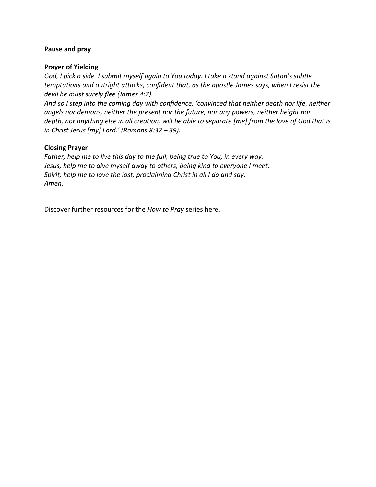### Pause and pray

### Prayer of Yielding

God, I pick a side. I submit myself again to You today. I take a stand against Satan's subtle temptations and outright attacks, confident that, as the apostle James says, when I resist the devil he must surely flee (James 4:7).

And so I step into the coming day with confidence, 'convinced that neither death nor life, neither angels nor demons, neither the present nor the future, nor any powers, neither height nor depth, nor anything else in all creation, will be able to separate [me] from the love of God that is in Christ Jesus [my] Lord.' (Romans 8:37 – 39).

## Closing Prayer

Father, help me to live this day to the full, being true to You, in every way. Jesus, help me to give myself away to others, being kind to everyone I meet. Spirit, help me to love the lost, proclaiming Christ in all I do and say. Amen.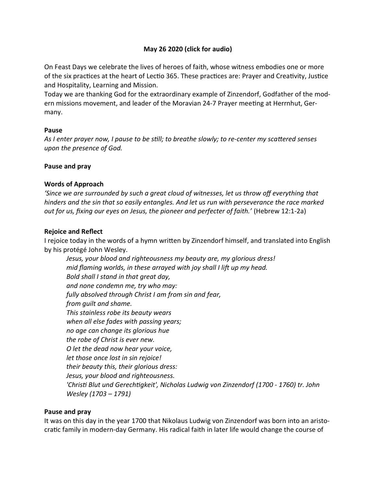# May 26 2020 (click for audio)

On Feast Days we celebrate the lives of heroes of faith, whose witness embodies one or more of the six practices at the heart of Lectio 365. These practices are: Prayer and Creativity, Justice and Hospitality, Learning and Mission.

Today we are thanking God for the extraordinary example of Zinzendorf, Godfather of the modern missions movement, and leader of the Moravian 24-7 Prayer meeting at Herrnhut, Germany.

## Pause

As I enter prayer now, I pause to be still; to breathe slowly; to re-center my scattered senses upon the presence of God.

### Pause and pray

### Words of Approach

'Since we are surrounded by such a great cloud of witnesses, let us throw off everything that hinders and the sin that so easily entangles. And let us run with perseverance the race marked out for us, fixing our eyes on Jesus, the pioneer and perfecter of faith.' (Hebrew 12:1-2a)

### Rejoice and Reflect

I rejoice today in the words of a hymn written by Zinzendorf himself, and translated into English by his protégé John Wesley.

Jesus, your blood and righteousness my beauty are, my glorious dress! mid flaming worlds, in these arrayed with joy shall I lift up my head. Bold shall I stand in that great day, and none condemn me, try who may: fully absolved through Christ I am from sin and fear, from guilt and shame. This stainless robe its beauty wears when all else fades with passing years; no age can change its glorious hue the robe of Christ is ever new. O let the dead now hear your voice, let those once lost in sin rejoice! their beauty this, their glorious dress: Jesus, your blood and righteousness. 'Christi Blut und Gerechtigkeit', Nicholas Ludwig von Zinzendorf (1700 - 1760) tr. John Wesley (1703 – 1791)

#### Pause and pray

It was on this day in the year 1700 that Nikolaus Ludwig von Zinzendorf was born into an aristocratic family in modern-day Germany. His radical faith in later life would change the course of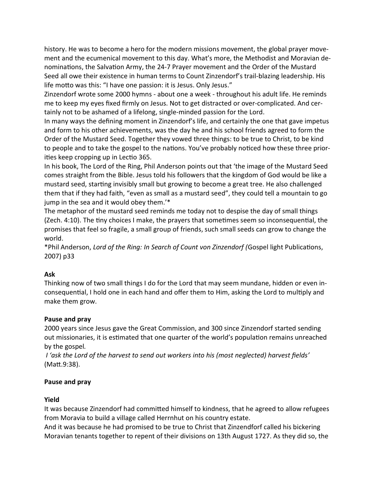history. He was to become a hero for the modern missions movement, the global prayer movement and the ecumenical movement to this day. What's more, the Methodist and Moravian denominations, the Salvation Army, the 24-7 Prayer movement and the Order of the Mustard Seed all owe their existence in human terms to Count Zinzendorf's trail-blazing leadership. His life motto was this: "I have one passion: it is Jesus. Only Jesus."

Zinzendorf wrote some 2000 hymns - about one a week - throughout his adult life. He reminds me to keep my eyes fixed firmly on Jesus. Not to get distracted or over-complicated. And certainly not to be ashamed of a lifelong, single-minded passion for the Lord.

In many ways the defining moment in Zinzendorf's life, and certainly the one that gave impetus and form to his other achievements, was the day he and his school friends agreed to form the Order of the Mustard Seed. Together they vowed three things: to be true to Christ, to be kind to people and to take the gospel to the nations. You've probably noticed how these three priorities keep cropping up in Lectio 365.

In his book, The Lord of the Ring, Phil Anderson points out that 'the image of the Mustard Seed comes straight from the Bible. Jesus told his followers that the kingdom of God would be like a mustard seed, starting invisibly small but growing to become a great tree. He also challenged them that if they had faith, "even as small as a mustard seed", they could tell a mountain to go jump in the sea and it would obey them.'\*

The metaphor of the mustard seed reminds me today not to despise the day of small things (Zech. 4:10). The tiny choices I make, the prayers that sometimes seem so inconsequential, the promises that feel so fragile, a small group of friends, such small seeds can grow to change the world.

\*Phil Anderson, Lord of the Ring: In Search of Count von Zinzendorf (Gospel light Publications, 2007) p33

# Ask

Thinking now of two small things I do for the Lord that may seem mundane, hidden or even inconsequential, I hold one in each hand and offer them to Him, asking the Lord to multiply and make them grow.

# Pause and pray

2000 years since Jesus gave the Great Commission, and 300 since Zinzendorf started sending out missionaries, it is estimated that one quarter of the world's population remains unreached by the gospel.

 I 'ask the Lord of the harvest to send out workers into his (most neglected) harvest fields' (Matt.9:38).

# Pause and pray

# Yield

It was because Zinzendorf had committed himself to kindness, that he agreed to allow refugees from Moravia to build a village called Herrnhut on his country estate.

And it was because he had promised to be true to Christ that Zinzendforf called his bickering Moravian tenants together to repent of their divisions on 13th August 1727. As they did so, the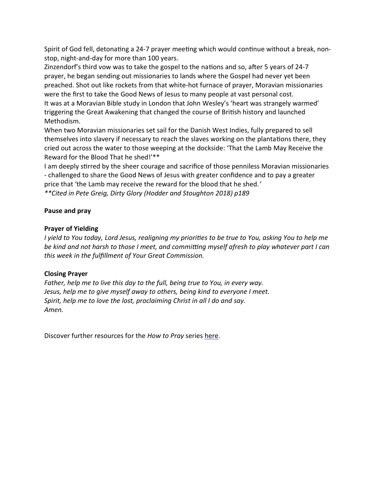Spirit of God fell, detonating a 24-7 prayer meeting which would continue without a break, nonstop, night-and-day for more than 100 years.

Zinzendorf's third vow was to take the gospel to the nations and so, after 5 years of 24-7 prayer, he began sending out missionaries to lands where the Gospel had never yet been preached. Shot out like rockets from that white-hot furnace of prayer, Moravian missionaries were the first to take the Good News of Jesus to many people at vast personal cost. It was at a Moravian Bible study in London that John Wesley's 'heart was strangely warmed' triggering the Great Awakening that changed the course of British history and launched Methodism.

When two Moravian missionaries set sail for the Danish West Indies, fully prepared to sell themselves into slavery if necessary to reach the slaves working on the plantations there, they cried out across the water to those weeping at the dockside: 'That the Lamb May Receive the Reward for the Blood That he shed!'\*\*

I am deeply sƟrred by the sheer courage and sacrifice of those penniless Moravian missionaries - challenged to share the Good News of Jesus with greater confidence and to pay a greater price that 'the Lamb may receive the reward for the blood that he shed.'

\*\*Cited in Pete Greig, Dirty Glory (Hodder and Stoughton 2018) p189

## Pause and pray

## Prayer of Yielding

I yield to You today, Lord Jesus, realigning my priorities to be true to You, asking You to help me be kind and not harsh to those I meet, and committing myself afresh to play whatever part I can this week in the fulfillment of Your Great Commission.

## Closing Prayer

Father, help me to live this day to the full, being true to You, in every way. Jesus, help me to give myself away to others, being kind to everyone I meet. Spirit, help me to love the lost, proclaiming Christ in all I do and say. Amen.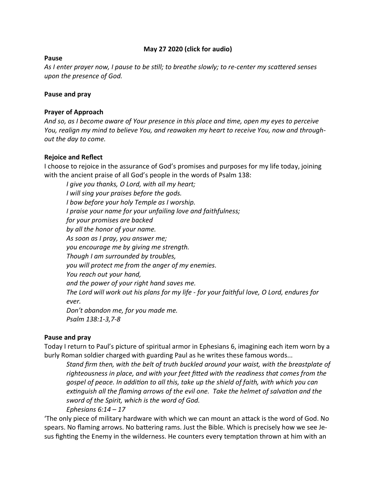## May 27 2020 (click for audio)

## Pause

As I enter prayer now, I pause to be still; to breathe slowly; to re-center my scattered senses upon the presence of God.

#### Pause and pray

### Prayer of Approach

And so, as I become aware of Your presence in this place and time, open my eyes to perceive You, realign my mind to believe You, and reawaken my heart to receive You, now and throughout the day to come.

## Rejoice and Reflect

I choose to rejoice in the assurance of God's promises and purposes for my life today, joining with the ancient praise of all God's people in the words of Psalm 138:

I give you thanks, O Lord, with all my heart; I will sing your praises before the gods. I bow before your holy Temple as I worship. I praise your name for your unfailing love and faithfulness; for your promises are backed by all the honor of your name. As soon as I pray, you answer me; you encourage me by giving me strength. Though I am surrounded by troubles, you will protect me from the anger of my enemies. You reach out your hand, and the power of your right hand saves me. The Lord will work out his plans for my life - for your faithful love, O Lord, endures for ever. Don't abandon me, for you made me. Psalm 138:1-3,7-8

## Pause and pray

Today I return to Paul's picture of spiritual armor in Ephesians 6, imagining each item worn by a burly Roman soldier charged with guarding Paul as he writes these famous words...

Stand firm then, with the belt of truth buckled around your waist, with the breastplate of righteousness in place, and with your feet fitted with the readiness that comes from the gospel of peace. In addition to all this, take up the shield of faith, with which you can extinguish all the flaming arrows of the evil one. Take the helmet of salvation and the sword of the Spirit, which is the word of God.

Ephesians  $6:14-17$ 

The only piece of military hardware with which we can mount an attack is the word of God. No spears. No flaming arrows. No battering rams. Just the Bible. Which is precisely how we see Jesus fighting the Enemy in the wilderness. He counters every temptation thrown at him with an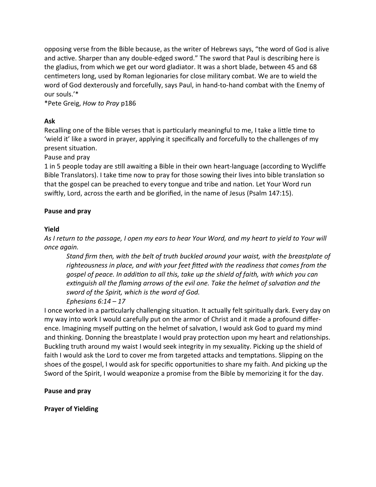opposing verse from the Bible because, as the writer of Hebrews says, "the word of God is alive and active. Sharper than any double-edged sword." The sword that Paul is describing here is the gladius, from which we get our word gladiator. It was a short blade, between 45 and 68 centimeters long, used by Roman legionaries for close military combat. We are to wield the word of God dexterously and forcefully, says Paul, in hand-to-hand combat with the Enemy of our souls.'\*

\*Pete Greig, How to Pray p186

# Ask

Recalling one of the Bible verses that is particularly meaningful to me, I take a little time to 'wield it' like a sword in prayer, applying it specifically and forcefully to the challenges of my present situation.

Pause and pray

1 in 5 people today are still awaiting a Bible in their own heart-language (according to Wycliffe Bible Translators). I take time now to pray for those sowing their lives into bible translation so that the gospel can be preached to every tongue and tribe and nation. Let Your Word run swiftly, Lord, across the earth and be glorified, in the name of Jesus (Psalm 147:15).

# Pause and pray

# Yield

As I return to the passage, I open my ears to hear Your Word, and my heart to yield to Your will once again.

Stand firm then, with the belt of truth buckled around your waist, with the breastplate of righteousness in place, and with your feet fitted with the readiness that comes from the gospel of peace. In addition to all this, take up the shield of faith, with which you can extinguish all the flaming arrows of the evil one. Take the helmet of salvation and the sword of the Spirit, which is the word of God. Ephesians  $6:14-17$ 

I once worked in a particularly challenging situation. It actually felt spiritually dark. Every day on my way into work I would carefully put on the armor of Christ and it made a profound difference. Imagining myself putting on the helmet of salvation, I would ask God to guard my mind and thinking. Donning the breastplate I would pray protection upon my heart and relationships. Buckling truth around my waist I would seek integrity in my sexuality. Picking up the shield of faith I would ask the Lord to cover me from targeted attacks and temptations. Slipping on the shoes of the gospel, I would ask for specific opportunities to share my faith. And picking up the Sword of the Spirit, I would weaponize a promise from the Bible by memorizing it for the day.

# Pause and pray

Prayer of Yielding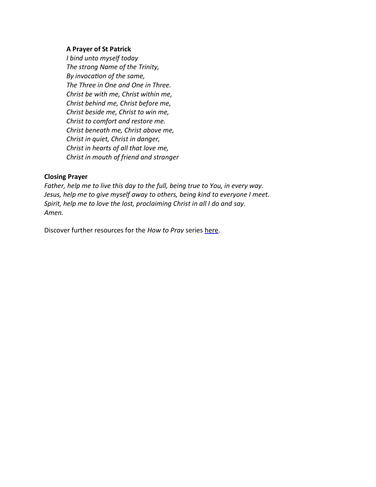### A Prayer of St Patrick

I bind unto myself today The strong Name of the Trinity, By invocation of the same, The Three in One and One in Three. Christ be with me, Christ within me, Christ behind me, Christ before me, Christ beside me, Christ to win me, Christ to comfort and restore me. Christ beneath me, Christ above me, Christ in quiet, Christ in danger, Christ in hearts of all that love me, Christ in mouth of friend and stranger

### Closing Prayer

Father, help me to live this day to the full, being true to You, in every way. Jesus, help me to give myself away to others, being kind to everyone I meet. Spirit, help me to love the lost, proclaiming Christ in all I do and say. Amen.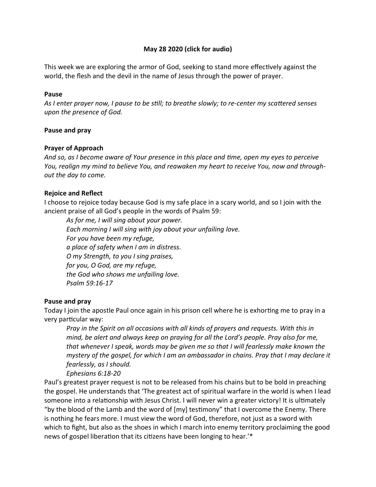## May 28 2020 (click for audio)

This week we are exploring the armor of God, seeking to stand more effectively against the world, the flesh and the devil in the name of Jesus through the power of prayer.

#### Pause

As I enter prayer now, I pause to be still; to breathe slowly; to re-center my scattered senses upon the presence of God.

## Pause and pray

### Prayer of Approach

And so, as I become aware of Your presence in this place and time, open my eyes to perceive You, realign my mind to believe You, and reawaken my heart to receive You, now and throughout the day to come.

## Rejoice and Reflect

I choose to rejoice today because God is my safe place in a scary world, and so I join with the ancient praise of all God's people in the words of Psalm 59:

As for me, I will sing about your power. Each morning I will sing with joy about your unfailing love. For you have been my refuge, a place of safety when I am in distress. O my Strength, to you I sing praises, for you, O God, are my refuge, the God who shows me unfailing love. Psalm 59:16-17

## Pause and pray

Today I join the apostle Paul once again in his prison cell where he is exhorting me to pray in a very particular way:

Pray in the Spirit on all occasions with all kinds of prayers and requests. With this in mind, be alert and always keep on praying for all the Lord's people. Pray also for me, that whenever I speak, words may be given me so that I will fearlessly make known the mystery of the gospel, for which I am an ambassador in chains. Pray that I may declare it fearlessly, as I should.

Ephesians 6:18-20

Paul's greatest prayer request is not to be released from his chains but to be bold in preaching the gospel. He understands that 'The greatest act of spiritual warfare in the world is when I lead someone into a relationship with Jesus Christ. I will never win a greater victory! It is ultimately "by the blood of the Lamb and the word of  $[my]$  testimony" that I overcome the Enemy. There is nothing he fears more. I must view the word of God, therefore, not just as a sword with which to fight, but also as the shoes in which I march into enemy territory proclaiming the good news of gospel liberation that its citizens have been longing to hear.'\*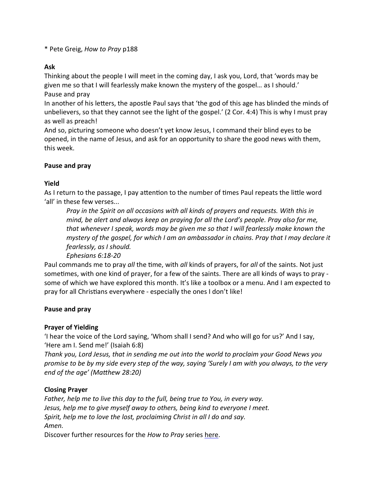\* Pete Greig, How to Pray p188

# Ask

Thinking about the people I will meet in the coming day, I ask you, Lord, that 'words may be given me so that I will fearlessly make known the mystery of the gospel… as I should.' Pause and pray

In another of his letters, the apostle Paul says that 'the god of this age has blinded the minds of unbelievers, so that they cannot see the light of the gospel.' (2 Cor. 4:4) This is why I must pray as well as preach!

And so, picturing someone who doesn't yet know Jesus, I command their blind eyes to be opened, in the name of Jesus, and ask for an opportunity to share the good news with them, this week.

## Pause and pray

# Yield

As I return to the passage, I pay attention to the number of times Paul repeats the little word 'all' in these few verses...

Pray in the Spirit on all occasions with all kinds of prayers and requests. With this in mind, be alert and always keep on praying for all the Lord's people. Pray also for me, that whenever I speak, words may be given me so that I will fearlessly make known the mystery of the gospel, for which I am an ambassador in chains. Pray that I may declare it fearlessly, as I should.

Ephesians 6:18-20

Paul commands me to pray all the time, with all kinds of prayers, for all of the saints. Not just sometimes, with one kind of prayer, for a few of the saints. There are all kinds of ways to pray some of which we have explored this month. It's like a toolbox or a menu. And I am expected to pray for all Christians everywhere - especially the ones I don't like!

## Pause and pray

## Prayer of Yielding

'I hear the voice of the Lord saying, 'Whom shall I send? And who will go for us?' And I say, 'Here am I. Send me!' (Isaiah 6:8)

Thank you, Lord Jesus, that in sending me out into the world to proclaim your Good News you promise to be by my side every step of the way, saying 'Surely I am with you always, to the very end of the age' (Matthew 28:20)

# Closing Prayer

Father, help me to live this day to the full, being true to You, in every way. Jesus, help me to give myself away to others, being kind to everyone I meet. Spirit, help me to love the lost, proclaiming Christ in all I do and say. Amen.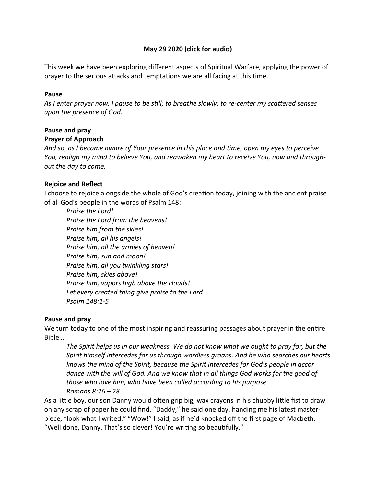## May 29 2020 (click for audio)

This week we have been exploring different aspects of Spiritual Warfare, applying the power of prayer to the serious attacks and temptations we are all facing at this time.

### Pause

As I enter prayer now, I pause to be still; to breathe slowly; to re-center my scattered senses upon the presence of God.

## Pause and pray

## Prayer of Approach

And so, as I become aware of Your presence in this place and time, open my eyes to perceive You, realign my mind to believe You, and reawaken my heart to receive You, now and throughout the day to come.

## Rejoice and Reflect

I choose to rejoice alongside the whole of God's creation today, joining with the ancient praise of all God's people in the words of Psalm 148:

Praise the Lord! Praise the Lord from the heavens! Praise him from the skies! Praise him, all his angels! Praise him, all the armies of heaven! Praise him, sun and moon! Praise him, all you twinkling stars! Praise him, skies above! Praise him, vapors high above the clouds! Let every created thing give praise to the Lord Psalm 148:1-5

## Pause and pray

We turn today to one of the most inspiring and reassuring passages about prayer in the entire Bible…

The Spirit helps us in our weakness. We do not know what we ought to pray for, but the Spirit himself intercedes for us through wordless groans. And he who searches our hearts knows the mind of the Spirit, because the Spirit intercedes for God's people in accor dance with the will of God. And we know that in all things God works for the good of those who love him, who have been called according to his purpose. Romans 8:26 – 28

As a little boy, our son Danny would often grip big, wax crayons in his chubby little fist to draw on any scrap of paper he could find. "Daddy," he said one day, handing me his latest masterpiece, "look what I writed." "Wow!" I said, as if he'd knocked off the first page of Macbeth. "Well done, Danny. That's so clever! You're writing so beautifully."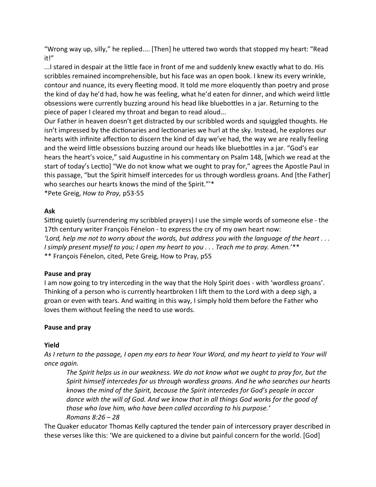"Wrong way up, silly," he replied.... [Then] he uttered two words that stopped my heart: "Read it!"

...I stared in despair at the little face in front of me and suddenly knew exactly what to do. His scribbles remained incomprehensible, but his face was an open book. I knew its every wrinkle, contour and nuance, its every fleeting mood. It told me more eloquently than poetry and prose the kind of day he'd had, how he was feeling, what he'd eaten for dinner, and which weird little obsessions were currently buzzing around his head like bluebottles in a jar. Returning to the piece of paper I cleared my throat and began to read aloud...

Our Father in heaven doesn't get distracted by our scribbled words and squiggled thoughts. He isn't impressed by the dictionaries and lectionaries we hurl at the sky. Instead, he explores our hearts with infinite affection to discern the kind of day we've had, the way we are really feeling and the weird little obsessions buzzing around our heads like bluebottles in a jar. "God's ear hears the heart's voice," said Augustine in his commentary on Psalm 148, [which we read at the start of today's Lectio] "We do not know what we ought to pray for," agrees the Apostle Paul in this passage, "but the Spirit himself intercedes for us through wordless groans. And [the Father] who searches our hearts knows the mind of the Spirit."<sup>\*</sup>

\*Pete Greig, How to Pray, p53-55

## Ask

Sitting quietly (surrendering my scribbled prayers) I use the simple words of someone else - the 17th century writer François Fénelon - to express the cry of my own heart now: 'Lord, help me not to worry about the words, but address you with the language of the heart . . . I simply present myself to you; I open my heart to you . . . Teach me to pray. Amen.'\*\* \*\* François Fénelon, cited, Pete Greig, How to Pray, p55

# Pause and pray

I am now going to try interceding in the way that the Holy Spirit does - with 'wordless groans'. Thinking of a person who is currently heartbroken I lift them to the Lord with a deep sigh, a groan or even with tears. And waiting in this way, I simply hold them before the Father who loves them without feeling the need to use words.

# Pause and pray

# Yield

As I return to the passage, I open my ears to hear Your Word, and my heart to yield to Your will once again.

The Spirit helps us in our weakness. We do not know what we ought to pray for, but the Spirit himself intercedes for us through wordless groans. And he who searches our hearts knows the mind of the Spirit, because the Spirit intercedes for God's people in accor dance with the will of God. And we know that in all things God works for the good of those who love him, who have been called according to his purpose.' Romans 8:26 – 28

The Quaker educator Thomas Kelly captured the tender pain of intercessory prayer described in these verses like this: 'We are quickened to a divine but painful concern for the world. [God]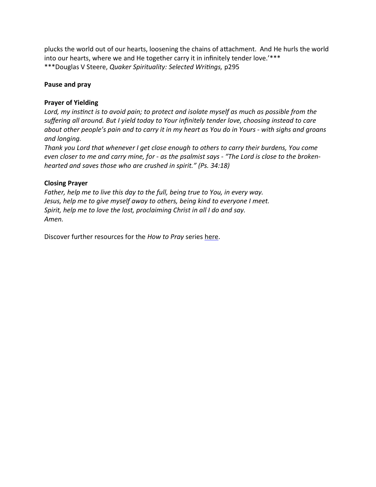plucks the world out of our hearts, loosening the chains of attachment. And He hurls the world into our hearts, where we and He together carry it in infinitely tender love.' \*\*\* \*\*\*Douglas V Steere, Quaker Spirituality: Selected Writings, p295

## Pause and pray

### Prayer of Yielding

Lord, my instinct is to avoid pain; to protect and isolate myself as much as possible from the suffering all around. But I yield today to Your infinitely tender love, choosing instead to care about other people's pain and to carry it in my heart as You do in Yours - with sighs and groans and longing.

Thank you Lord that whenever I get close enough to others to carry their burdens, You come even closer to me and carry mine, for - as the psalmist says - "The Lord is close to the brokenhearted and saves those who are crushed in spirit." (Ps. 34:18)

### Closing Prayer

Father, help me to live this day to the full, being true to You, in every way. Jesus, help me to give myself away to others, being kind to everyone I meet. Spirit, help me to love the lost, proclaiming Christ in all I do and say. Amen.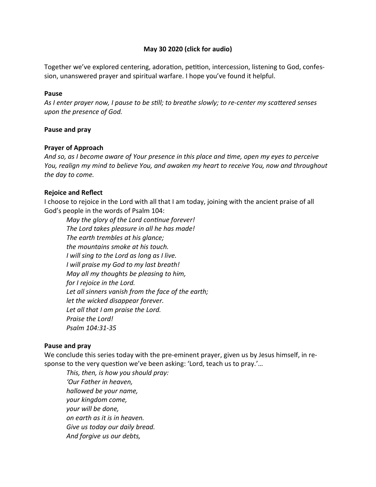## May 30 2020 (click for audio)

Together we've explored centering, adoration, petition, intercession, listening to God, confession, unanswered prayer and spiritual warfare. I hope you've found it helpful.

#### Pause

As I enter prayer now, I pause to be still; to breathe slowly; to re-center my scattered senses upon the presence of God.

### Pause and pray

### Prayer of Approach

And so, as I become aware of Your presence in this place and time, open my eyes to perceive You, realign my mind to believe You, and awaken my heart to receive You, now and throughout the day to come.

## Rejoice and Reflect

I choose to rejoice in the Lord with all that I am today, joining with the ancient praise of all God's people in the words of Psalm 104:

May the glory of the Lord continue forever! The Lord takes pleasure in all he has made! The earth trembles at his glance; the mountains smoke at his touch. I will sing to the Lord as long as I live. I will praise my God to my last breath! May all my thoughts be pleasing to him, for I rejoice in the Lord. Let all sinners vanish from the face of the earth; let the wicked disappear forever. Let all that I am praise the Lord. Praise the Lord! Psalm 104:31-35

#### Pause and pray

We conclude this series today with the pre-eminent prayer, given us by Jesus himself, in response to the very question we've been asking: 'Lord, teach us to pray.'...

This, then, is how you should pray: 'Our Father in heaven, hallowed be your name, your kingdom come, your will be done, on earth as it is in heaven. Give us today our daily bread. And forgive us our debts,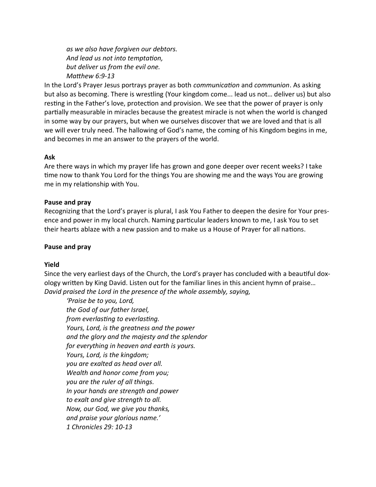as we also have forgiven our debtors. And lead us not into temptation, but deliver us from the evil one. Matthew  $6:9-13$ 

In the Lord's Prayer Jesus portrays prayer as both *communication* and *communion*. As asking but also as becoming. There is wrestling (Your kingdom come... lead us not… deliver us) but also resting in the Father's love, protection and provision. We see that the power of prayer is only partially measurable in miracles because the greatest miracle is not when the world is changed in some way by our prayers, but when we ourselves discover that we are loved and that is all we will ever truly need. The hallowing of God's name, the coming of his Kingdom begins in me, and becomes in me an answer to the prayers of the world.

#### Ask

Are there ways in which my prayer life has grown and gone deeper over recent weeks? I take time now to thank You Lord for the things You are showing me and the ways You are growing me in my relationship with You.

#### Pause and pray

Recognizing that the Lord's prayer is plural, I ask You Father to deepen the desire for Your presence and power in my local church. Naming particular leaders known to me, I ask You to set their hearts ablaze with a new passion and to make us a House of Prayer for all nations.

#### Pause and pray

#### Yield

Since the very earliest days of the Church, the Lord's prayer has concluded with a beautiful doxology written by King David. Listen out for the familiar lines in this ancient hymn of praise... David praised the Lord in the presence of the whole assembly, saying,

'Praise be to you, Lord, the God of our father Israel, from everlasting to everlasting. Yours, Lord, is the greatness and the power and the glory and the majesty and the splendor for everything in heaven and earth is yours. Yours, Lord, is the kingdom; you are exalted as head over all. Wealth and honor come from you; you are the ruler of all things. In your hands are strength and power to exalt and give strength to all. Now, our God, we give you thanks, and praise your glorious name.' 1 Chronicles 29: 10-13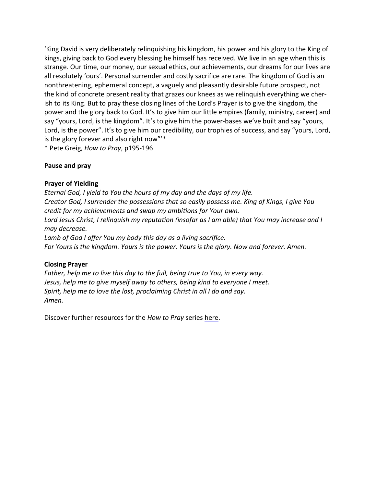'King David is very deliberately relinquishing his kingdom, his power and his glory to the King of kings, giving back to God every blessing he himself has received. We live in an age when this is strange. Our time, our money, our sexual ethics, our achievements, our dreams for our lives are all resolutely 'ours'. Personal surrender and costly sacrifice are rare. The kingdom of God is an nonthreatening, ephemeral concept, a vaguely and pleasantly desirable future prospect, not the kind of concrete present reality that grazes our knees as we relinquish everything we cherish to its King. But to pray these closing lines of the Lord's Prayer is to give the kingdom, the power and the glory back to God. It's to give him our little empires (family, ministry, career) and say "yours, Lord, is the kingdom". It's to give him the power-bases we've built and say "yours, Lord, is the power". It's to give him our credibility, our trophies of success, and say "yours, Lord, is the glory forever and also right now"'\*

\* Pete Greig, How to Pray, p195-196

### Pause and pray

### Prayer of Yielding

Eternal God, I yield to You the hours of my day and the days of my life. Creator God, I surrender the possessions that so easily possess me. King of Kings, I give You credit for my achievements and swap my ambitions for Your own. Lord Jesus Christ, I relinquish my reputation (insofar as I am able) that You may increase and I may decrease. Lamb of God I offer You my body this day as a living sacrifice. For Yours is the kingdom. Yours is the power. Yours is the glory. Now and forever. Amen.

## Closing Prayer

Father, help me to live this day to the full, being true to You, in every way. Jesus, help me to give myself away to others, being kind to everyone I meet. Spirit, help me to love the lost, proclaiming Christ in all I do and say. Amen.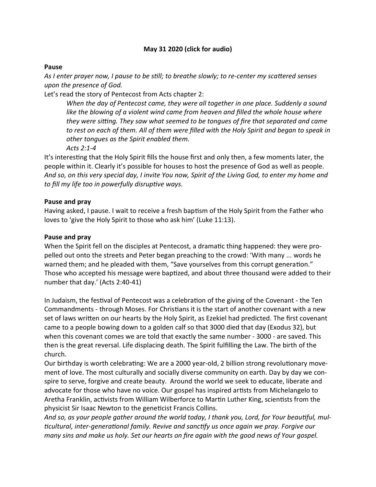## May 31 2020 (click for audio)

### Pause

As I enter prayer now, I pause to be still; to breathe slowly; to re-center my scattered senses upon the presence of God.

Let's read the story of Pentecost from Acts chapter 2:

When the day of Pentecost came, they were all together in one place. Suddenly a sound like the blowing of a violent wind came from heaven and filled the whole house where they were sitting. They saw what seemed to be tongues of fire that separated and came to rest on each of them. All of them were filled with the Holy Spirit and began to speak in other tongues as the Spirit enabled them. Acts 2:1-4

It's interesting that the Holy Spirit fills the house first and only then, a few moments later, the people within it. Clearly it's possible for houses to host the presence of God as well as people. And so, on this very special day, I invite You now, Spirit of the Living God, to enter my home and to fill my life too in powerfully disruptive ways.

### Pause and pray

Having asked, I pause. I wait to receive a fresh baptism of the Holy Spirit from the Father who loves to 'give the Holy Spirit to those who ask him' (Luke 11:13).

#### Pause and pray

When the Spirit fell on the disciples at Pentecost, a dramatic thing happened: they were propelled out onto the streets and Peter began preaching to the crowd: 'With many ... words he warned them; and he pleaded with them, "Save yourselves from this corrupt generation." Those who accepted his message were baptized, and about three thousand were added to their number that day.' (Acts 2:40-41)

In Judaism, the festival of Pentecost was a celebration of the giving of the Covenant - the Ten Commandments - through Moses. For Christians it is the start of another covenant with a new set of laws written on our hearts by the Holy Spirit, as Ezekiel had predicted. The first covenant came to a people bowing down to a golden calf so that 3000 died that day (Exodus 32), but when this covenant comes we are told that exactly the same number - 3000 - are saved. This then is the great reversal. Life displacing death. The Spirit fulfilling the Law. The birth of the church.

Our birthday is worth celebrating: We are a 2000 year-old, 2 billion strong revolutionary movement of love. The most culturally and socially diverse community on earth. Day by day we conspire to serve, forgive and create beauty. Around the world we seek to educate, liberate and advocate for those who have no voice. Our gospel has inspired artists from Michelangelo to Aretha Franklin, activists from William Wilberforce to Martin Luther King, scientists from the physicist Sir Isaac Newton to the geneticist Francis Collins.

And so, as your people gather around the world today, I thank you, Lord, for Your beautiful, multicultural, inter-generational family. Revive and sanctify us once again we pray. Forgive our many sins and make us holy. Set our hearts on fire again with the good news of Your gospel.